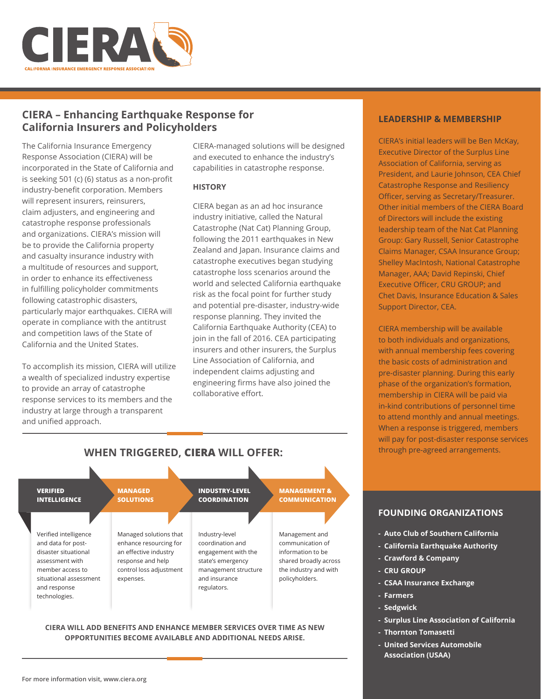

# **CIERA – Enhancing Earthquake Response for California Insurers and Policyholders**

The California Insurance Emergency Response Association (CIERA) will be incorporated in the State of California and is seeking 501 (c) (6) status as a non-profit industry-benefit corporation. Members will represent insurers, reinsurers, claim adjusters, and engineering and catastrophe response professionals and organizations. CIERA's mission will be to provide the California property and casualty insurance industry with a multitude of resources and support, in order to enhance its effectiveness in fulfilling policyholder commitments following catastrophic disasters, particularly major earthquakes. CIERA will operate in compliance with the antitrust and competition laws of the State of California and the United States.

To accomplish its mission, CIERA will utilize a wealth of specialized industry expertise to provide an array of catastrophe response services to its members and the industry at large through a transparent and unified approach.

CIERA-managed solutions will be designed and executed to enhance the industry's capabilities in catastrophe response.

## **HISTORY**

CIERA began as an ad hoc insurance industry initiative, called the Natural Catastrophe (Nat Cat) Planning Group, following the 2011 earthquakes in New Zealand and Japan. Insurance claims and catastrophe executives began studying catastrophe loss scenarios around the world and selected California earthquake risk as the focal point for further study and potential pre-disaster, industry-wide response planning. They invited the California Earthquake Authority (CEA) to join in the fall of 2016. CEA participating insurers and other insurers, the Surplus Line Association of California, and independent claims adjusting and engineering firms have also joined the collaborative effort.

## **LEADERSHIP & MEMBERSHIP**

CIERA's initial leaders will be Ben McKay, Executive Director of the Surplus Line Association of California, serving as President, and Laurie Johnson, CEA Chief Catastrophe Response and Resiliency Officer, serving as Secretary/Treasurer. Other initial members of the CIERA Board of Directors will include the existing leadership team of the Nat Cat Planning Group: Gary Russell, Senior Catastrophe Claims Manager, CSAA Insurance Group; Shelley MacIntosh, National Catastrophe Manager, AAA; David Repinski, Chief Executive Officer, CRU GROUP; and Chet Davis, Insurance Education & Sales Support Director, CEA.

CIERA membership will be available to both individuals and organizations, with annual membership fees covering the basic costs of administration and pre-disaster planning. During this early phase of the organization's formation, membership in CIERA will be paid via in-kind contributions of personnel time to attend monthly and annual meetings. When a response is triggered, members will pay for post-disaster response services through pre-agreed arrangements.



**WHEN TRIGGERED, CIERA WILL OFFER:** 

## **CIERA WILL ADD BENEFITS AND ENHANCE MEMBER SERVICES OVER TIME AS NEW OPPORTUNITIES BECOME AVAILABLE AND ADDITIONAL NEEDS ARISE.**

## **FOUNDING ORGANIZATIONS**

- **Auto Club of Southern California**
- **California Earthquake Authority**
- **Crawford & Company**
- **CRU GROUP**
- **CSAA Insurance Exchange**
- **Farmers**
- **Sedgwick**
- **Surplus Line Association of California**
- **Thornton Tomasetti**
- **United Services Automobile Association (USAA)**